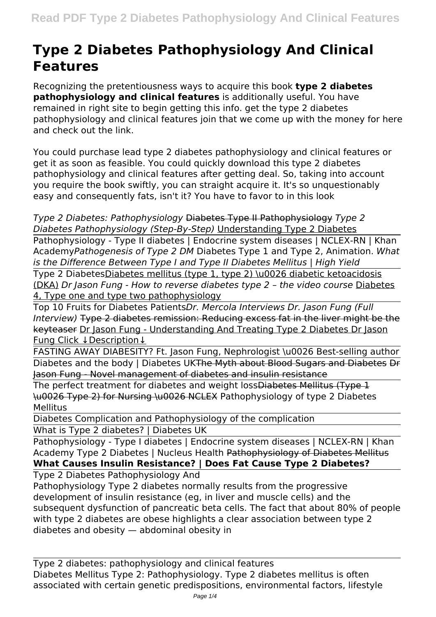## **Type 2 Diabetes Pathophysiology And Clinical Features**

Recognizing the pretentiousness ways to acquire this book **type 2 diabetes pathophysiology and clinical features** is additionally useful. You have remained in right site to begin getting this info. get the type 2 diabetes pathophysiology and clinical features join that we come up with the money for here and check out the link.

You could purchase lead type 2 diabetes pathophysiology and clinical features or get it as soon as feasible. You could quickly download this type 2 diabetes pathophysiology and clinical features after getting deal. So, taking into account you require the book swiftly, you can straight acquire it. It's so unquestionably easy and consequently fats, isn't it? You have to favor to in this look

*Type 2 Diabetes: Pathophysiology* Diabetes Type II Pathophysiology *Type 2 Diabetes Pathophysiology (Step-By-Step)* Understanding Type 2 Diabetes Pathophysiology - Type II diabetes | Endocrine system diseases | NCLEX-RN | Khan Academy*Pathogenesis of Type 2 DM* Diabetes Type 1 and Type 2, Animation. *What is the Difference Between Type I and Type II Diabetes Mellitus | High Yield*

Type 2 DiabetesDiabetes mellitus (type 1, type 2) \u0026 diabetic ketoacidosis (DKA) *Dr Jason Fung - How to reverse diabetes type 2 – the video course* Diabetes 4, Type one and type two pathophysiology

Top 10 Fruits for Diabetes Patients*Dr. Mercola Interviews Dr. Jason Fung (Full Interview)* Type 2 diabetes remission: Reducing excess fat in the liver might be the keyteaser Dr Jason Fung - Understanding And Treating Type 2 Diabetes Dr Jason Fung Click ↓Description↓

FASTING AWAY DIABESITY? Ft. Jason Fung, Nephrologist \u0026 Best-selling author Diabetes and the body | Diabetes UKThe Myth about Blood Sugars and Diabetes Dr Jason Fung - Novel management of diabetes and insulin resistance

The perfect treatment for diabetes and weight loss Diabetes Mellitus (Type 1 \u0026 Type 2) for Nursing \u0026 NCLEX Pathophysiology of type 2 Diabetes **Mellitus** 

Diabetes Complication and Pathophysiology of the complication

What is Type 2 diabetes? | Diabetes UK

Pathophysiology - Type I diabetes | Endocrine system diseases | NCLEX-RN | Khan Academy Type 2 Diabetes | Nucleus Health Pathophysiology of Diabetes Mellitus **What Causes Insulin Resistance? | Does Fat Cause Type 2 Diabetes?**

Type 2 Diabetes Pathophysiology And

Pathophysiology Type 2 diabetes normally results from the progressive development of insulin resistance (eg, in liver and muscle cells) and the subsequent dysfunction of pancreatic beta cells. The fact that about 80% of people with type 2 diabetes are obese highlights a clear association between type 2 diabetes and obesity — abdominal obesity in

Type 2 diabetes: pathophysiology and clinical features Diabetes Mellitus Type 2: Pathophysiology. Type 2 diabetes mellitus is often associated with certain genetic predispositions, environmental factors, lifestyle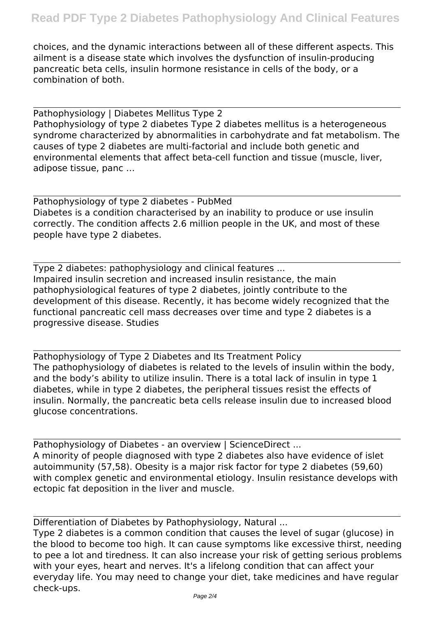choices, and the dynamic interactions between all of these different aspects. This ailment is a disease state which involves the dysfunction of insulin-producing pancreatic beta cells, insulin hormone resistance in cells of the body, or a combination of both.

Pathophysiology | Diabetes Mellitus Type 2 Pathophysiology of type 2 diabetes Type 2 diabetes mellitus is a heterogeneous syndrome characterized by abnormalities in carbohydrate and fat metabolism. The causes of type 2 diabetes are multi-factorial and include both genetic and environmental elements that affect beta-cell function and tissue (muscle, liver, adipose tissue, panc …

Pathophysiology of type 2 diabetes - PubMed Diabetes is a condition characterised by an inability to produce or use insulin correctly. The condition affects 2.6 million people in the UK, and most of these people have type 2 diabetes.

Type 2 diabetes: pathophysiology and clinical features ... Impaired insulin secretion and increased insulin resistance, the main pathophysiological features of type 2 diabetes, jointly contribute to the development of this disease. Recently, it has become widely recognized that the functional pancreatic cell mass decreases over time and type 2 diabetes is a progressive disease. Studies

Pathophysiology of Type 2 Diabetes and Its Treatment Policy The pathophysiology of diabetes is related to the levels of insulin within the body, and the body's ability to utilize insulin. There is a total lack of insulin in type 1 diabetes, while in type 2 diabetes, the peripheral tissues resist the effects of insulin. Normally, the pancreatic beta cells release insulin due to increased blood glucose concentrations.

Pathophysiology of Diabetes - an overview | ScienceDirect ... A minority of people diagnosed with type 2 diabetes also have evidence of islet autoimmunity (57,58). Obesity is a major risk factor for type 2 diabetes (59,60) with complex genetic and environmental etiology. Insulin resistance develops with ectopic fat deposition in the liver and muscle.

Differentiation of Diabetes by Pathophysiology, Natural ...

Type 2 diabetes is a common condition that causes the level of sugar (glucose) in the blood to become too high. It can cause symptoms like excessive thirst, needing to pee a lot and tiredness. It can also increase your risk of getting serious problems with your eyes, heart and nerves. It's a lifelong condition that can affect your everyday life. You may need to change your diet, take medicines and have regular check-ups.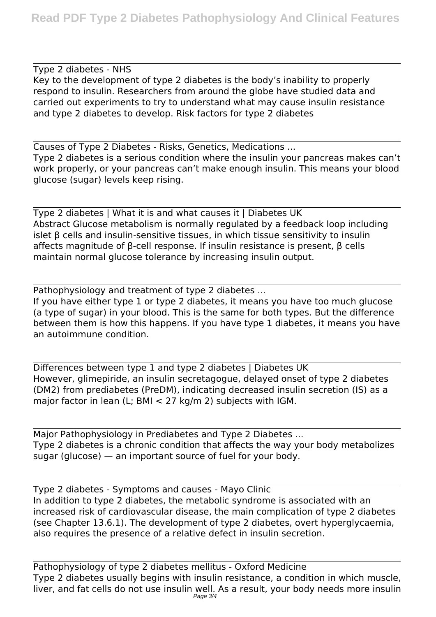## Type 2 diabetes - NHS

Key to the development of type 2 diabetes is the body's inability to properly respond to insulin. Researchers from around the globe have studied data and carried out experiments to try to understand what may cause insulin resistance and type 2 diabetes to develop. Risk factors for type 2 diabetes

Causes of Type 2 Diabetes - Risks, Genetics, Medications ... Type 2 diabetes is a serious condition where the insulin your pancreas makes can't work properly, or your pancreas can't make enough insulin. This means your blood glucose (sugar) levels keep rising.

Type 2 diabetes | What it is and what causes it | Diabetes UK Abstract Glucose metabolism is normally regulated by a feedback loop including islet  $\beta$  cells and insulin-sensitive tissues, in which tissue sensitivity to insulin affects magnitude of β-cell response. If insulin resistance is present, β cells maintain normal glucose tolerance by increasing insulin output.

Pathophysiology and treatment of type 2 diabetes ...

If you have either type 1 or type 2 diabetes, it means you have too much glucose (a type of sugar) in your blood. This is the same for both types. But the difference between them is how this happens. If you have type 1 diabetes, it means you have an autoimmune condition.

Differences between type 1 and type 2 diabetes | Diabetes UK However, glimepiride, an insulin secretagogue, delayed onset of type 2 diabetes (DM2) from prediabetes (PreDM), indicating decreased insulin secretion (IS) as a major factor in lean (L; BMI  $<$  27 kg/m 2) subjects with IGM.

Major Pathophysiology in Prediabetes and Type 2 Diabetes ... Type 2 diabetes is a chronic condition that affects the way your body metabolizes sugar (glucose) — an important source of fuel for your body.

Type 2 diabetes - Symptoms and causes - Mayo Clinic In addition to type 2 diabetes, the metabolic syndrome is associated with an increased risk of cardiovascular disease, the main complication of type 2 diabetes (see Chapter 13.6.1). The development of type 2 diabetes, overt hyperglycaemia, also requires the presence of a relative defect in insulin secretion.

Pathophysiology of type 2 diabetes mellitus - Oxford Medicine Type 2 diabetes usually begins with insulin resistance, a condition in which muscle, liver, and fat cells do not use insulin well. As a result, your body needs more insulin Page 3/4